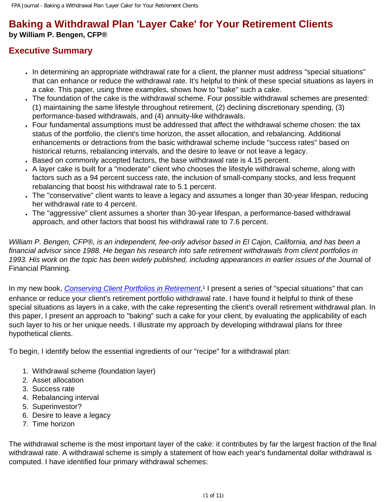# **Baking a Withdrawal Plan 'Layer Cake' for Your Retirement Clients**

#### **by William P. Bengen, CFP®**

### **Executive Summary**

- In determining an appropriate withdrawal rate for a client, the planner must address "special situations" that can enhance or reduce the withdrawal rate. It's helpful to think of these special situations as layers in a cake. This paper, using three examples, shows how to "bake" such a cake.
- The foundation of the cake is the withdrawal scheme. Four possible withdrawal schemes are presented: (1) maintaining the same lifestyle throughout retirement, (2) declining discretionary spending, (3) performance-based withdrawals, and (4) annuity-like withdrawals.
- Four fundamental assumptions must be addressed that affect the withdrawal scheme chosen: the tax status of the portfolio, the client's time horizon, the asset allocation, and rebalancing. Additional enhancements or detractions from the basic withdrawal scheme include "success rates" based on historical returns, rebalancing intervals, and the desire to leave or not leave a legacy.
- Based on commonly accepted factors, the base withdrawal rate is 4.15 percent.
- A layer cake is built for a "moderate" client who chooses the lifestyle withdrawal scheme, along with factors such as a 94 percent success rate, the inclusion of small-company stocks, and less frequent rebalancing that boost his withdrawal rate to 5.1 percent.
- The "conservative" client wants to leave a legacy and assumes a longer than 30-year lifespan, reducing her withdrawal rate to 4 percent.
- The "aggressive" client assumes a shorter than 30-year lifespan, a performance-based withdrawal approach, and other factors that boost his withdrawal rate to 7.6 percent.

*William P. Bengen, CFP®, is an independent, fee-only advisor based in El Cajon, California, and has been a*  financial advisor since 1988. He began his research into safe retirement withdrawals from client portfolios in *1993. His work on the topic has been widely published, including appearances in earlier issues of the* Journal of Financial Planning.

In my new book, *[Conserving Client Portfolios in Retirement](javascript:HandleLink()*,<sup>1</sup> I present a series of "special situations" that can enhance or reduce your client's retirement portfolio withdrawal rate. I have found it helpful to think of these special situations as layers in a cake, with the cake representing the client's overall retirement withdrawal plan. In this paper, I present an approach to "baking" such a cake for your client, by evaluating the applicability of each such layer to his or her unique needs. I illustrate my approach by developing withdrawal plans for three hypothetical clients.

To begin, I identify below the essential ingredients of our "recipe" for a withdrawal plan:

- 1. Withdrawal scheme (foundation layer)
- 2. Asset allocation
- 3. Success rate
- 4. Rebalancing interval
- 5. Superinvestor?
- 6. Desire to leave a legacy
- 7. Time horizon

The withdrawal scheme is the most important layer of the cake: it contributes by far the largest fraction of the final withdrawal rate. A withdrawal scheme is simply a statement of how each year's fundamental dollar withdrawal is computed. I have identified four primary withdrawal schemes: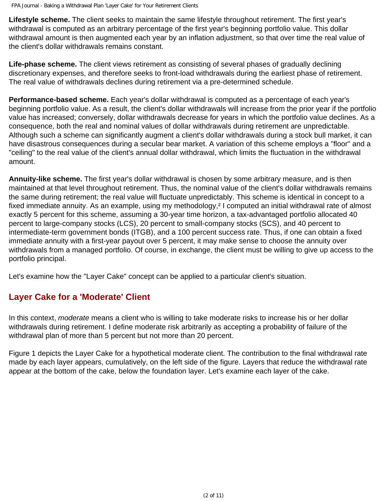**Lifestyle scheme.** The client seeks to maintain the same lifestyle throughout retirement. The first year's withdrawal is computed as an arbitrary percentage of the first year's beginning portfolio value. This dollar withdrawal amount is then augmented each year by an inflation adjustment, so that over time the real value of the client's dollar withdrawals remains constant.

**Life-phase scheme.** The client views retirement as consisting of several phases of gradually declining discretionary expenses, and therefore seeks to front-load withdrawals during the earliest phase of retirement. The real value of withdrawals declines during retirement via a pre-determined schedule.

**Performance-based scheme.** Each year's dollar withdrawal is computed as a percentage of each year's beginning portfolio value. As a result, the client's dollar withdrawals will increase from the prior year if the portfolio value has increased; conversely, dollar withdrawals decrease for years in which the portfolio value declines. As a consequence, both the real and nominal values of dollar withdrawals during retirement are unpredictable. Although such a scheme can significantly augment a client's dollar withdrawals during a stock bull market, it can have disastrous consequences during a secular bear market. A variation of this scheme employs a "floor" and a "ceiling" to the real value of the client's annual dollar withdrawal, which limits the fluctuation in the withdrawal amount.

**Annuity-like scheme.** The first year's dollar withdrawal is chosen by some arbitrary measure, and is then maintained at that level throughout retirement. Thus, the nominal value of the client's dollar withdrawals remains the same during retirement; the real value will fluctuate unpredictably. This scheme is identical in concept to a fixed immediate annuity. As an example, using my methodology,<sup>2</sup> I computed an initial withdrawal rate of almost exactly 5 percent for this scheme, assuming a 30-year time horizon, a tax-advantaged portfolio allocated 40 percent to large-company stocks (LCS), 20 percent to small-company stocks (SCS), and 40 percent to intermediate-term government bonds (ITGB), and a 100 percent success rate. Thus, if one can obtain a fixed immediate annuity with a first-year payout over 5 percent, it may make sense to choose the annuity over withdrawals from a managed portfolio. Of course, in exchange, the client must be willing to give up access to the portfolio principal.

Let's examine how the "Layer Cake" concept can be applied to a particular client's situation.

#### **Layer Cake for a 'Moderate' Client**

In this context, *moderate* means a client who is willing to take moderate risks to increase his or her dollar withdrawals during retirement. I define moderate risk arbitrarily as accepting a probability of failure of the withdrawal plan of more than 5 percent but not more than 20 percent.

Figure 1 depicts the Layer Cake for a hypothetical moderate client. The contribution to the final withdrawal rate made by each layer appears, cumulatively, on the left side of the figure. Layers that reduce the withdrawal rate appear at the bottom of the cake, below the foundation layer. Let's examine each layer of the cake.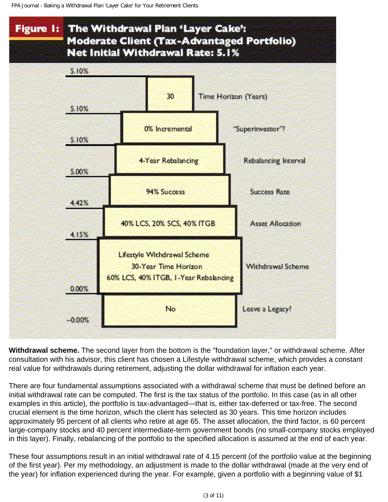

**Withdrawal scheme.** The second layer from the bottom is the "foundation layer," or withdrawal scheme. After consultation with his advisor, this client has chosen a Lifestyle withdrawal scheme, which provides a constant real value for withdrawals during retirement, adjusting the dollar withdrawal for inflation each year.

There are four fundamental assumptions associated with a withdrawal scheme that must be defined before an initial withdrawal rate can be computed. The first is the tax status of the portfolio. In this case (as in all other examples in this article), the portfolio is tax-advantaged—that is, either tax-deferred or tax-free. The second crucial element is the time horizon, which the client has selected as 30 years. This time horizon includes approximately 95 percent of all clients who retire at age 65. The asset allocation, the third factor, is 60 percent large-company stocks and 40 percent intermediate-term government bonds (no small-company stocks employed in this layer). Finally, rebalancing of the portfolio to the specified allocation is assumed at the end of each year.

These four assumptions result in an initial withdrawal rate of 4.15 percent (of the portfolio value at the beginning of the first year). Per my methodology, an adjustment is made to the dollar withdrawal (made at the very end of the year) for inflation experienced during the year. For example, given a portfolio with a beginning value of \$1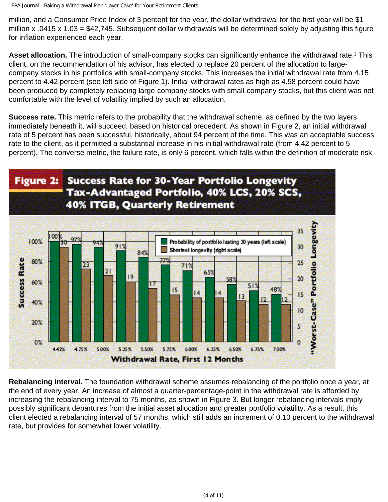million, and a Consumer Price Index of 3 percent for the year, the dollar withdrawal for the first year will be \$1 million x .0415 x 1.03 = \$42,745. Subsequent dollar withdrawals will be determined solely by adjusting this figure for inflation experienced each year.

**Asset allocation.** The introduction of small-company stocks can significantly enhance the withdrawal rate.<sup>3</sup> This client, on the recommendation of his advisor, has elected to replace 20 percent of the allocation to largecompany stocks in his portfolios with small-company stocks. This increases the initial withdrawal rate from 4.15 percent to 4.42 percent (see left side of Figure 1). Initial withdrawal rates as high as 4.58 percent could have been produced by completely replacing large-company stocks with small-company stocks, but this client was not comfortable with the level of volatility implied by such an allocation.

**Success rate.** This metric refers to the probability that the withdrawal scheme, as defined by the two layers immediately beneath it, will succeed, based on historical precedent. As shown in Figure 2, an initial withdrawal rate of 5 percent has been successful, historically, about 94 percent of the time. This was an acceptable success rate to the client, as it permitted a substantial increase in his initial withdrawal rate (from 4.42 percent to 5 percent). The converse metric, the failure rate, is only 6 percent, which falls within the definition of moderate risk.



**Rebalancing interval.** The foundation withdrawal scheme assumes rebalancing of the portfolio once a year, at the end of every year. An increase of almost a quarter-percentage-point in the withdrawal rate is afforded by increasing the rebalancing interval to 75 months, as shown in Figure 3. But longer rebalancing intervals imply possibly significant departures from the initial asset allocation and greater portfolio volatility. As a result, this client elected a rebalancing interval of 57 months, which still adds an increment of 0.10 percent to the withdrawal rate, but provides for somewhat lower volatility.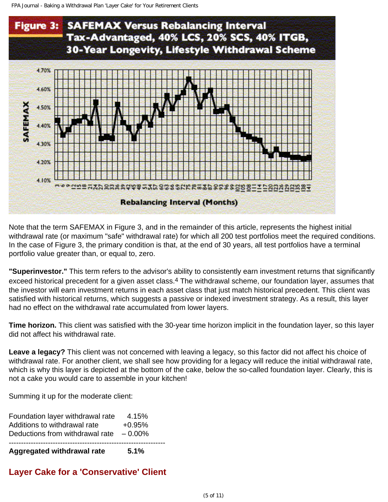```
FPA Journal - Baking a Withdrawal Plan 'Layer Cake' for Your Retirement Clients
```


Note that the term SAFEMAX in Figure 3, and in the remainder of this article, represents the highest initial withdrawal rate (or maximum "safe" withdrawal rate) for which all 200 test portfolios meet the required conditions. In the case of Figure 3, the primary condition is that, at the end of 30 years, all test portfolios have a terminal portfolio value greater than, or equal to, zero.

**"Superinvestor."** This term refers to the advisor's ability to consistently earn investment returns that significantly exceed historical precedent for a given asset class.<sup>4</sup> The withdrawal scheme, our foundation layer, assumes that the investor will earn investment returns in each asset class that just match historical precedent. This client was satisfied with historical returns, which suggests a passive or indexed investment strategy. As a result, this layer had no effect on the withdrawal rate accumulated from lower layers.

**Time horizon.** This client was satisfied with the 30-year time horizon implicit in the foundation layer, so this layer did not affect his withdrawal rate.

**Leave a legacy?** This client was not concerned with leaving a legacy, so this factor did not affect his choice of withdrawal rate. For another client, we shall see how providing for a legacy will reduce the initial withdrawal rate, which is why this layer is depicted at the bottom of the cake, below the so-called foundation layer. Clearly, this is not a cake you would care to assemble in your kitchen!

Summing it up for the moderate client:

| <b>Aggregated withdrawal rate</b> | 5.1%      |  |
|-----------------------------------|-----------|--|
| Deductions from withdrawal rate   | $-0.00\%$ |  |
| Additions to withdrawal rate      | $+0.95\%$ |  |
| Foundation layer withdrawal rate  | 4.15%     |  |

#### **Layer Cake for a 'Conservative' Client**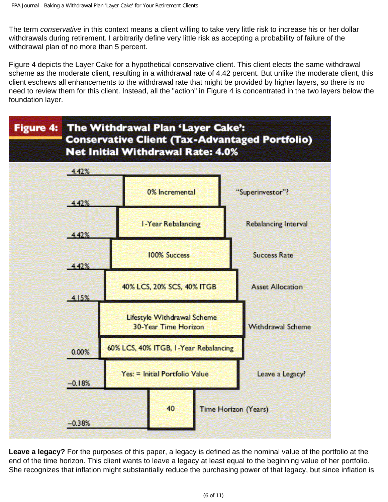The term *conservative* in this context means a client willing to take very little risk to increase his or her dollar withdrawals during retirement. I arbitrarily define very little risk as accepting a probability of failure of the withdrawal plan of no more than 5 percent.

Figure 4 depicts the Layer Cake for a hypothetical conservative client. This client elects the same withdrawal scheme as the moderate client, resulting in a withdrawal rate of 4.42 percent. But unlike the moderate client, this client eschews all enhancements to the withdrawal rate that might be provided by higher layers, so there is no need to review them for this client. Instead, all the "action" in Figure 4 is concentrated in the two layers below the foundation layer.



**Leave a legacy?** For the purposes of this paper, a legacy is defined as the nominal value of the portfolio at the end of the time horizon. This client wants to leave a legacy at least equal to the beginning value of her portfolio. She recognizes that inflation might substantially reduce the purchasing power of that legacy, but since inflation is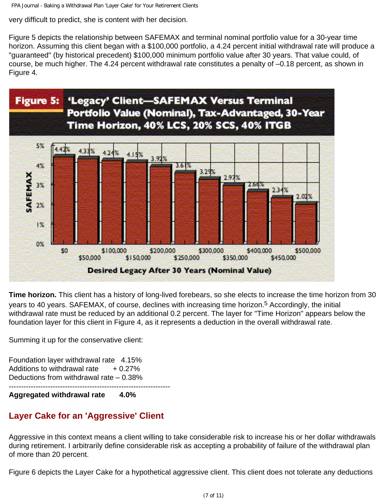FPA Journal - Baking a Withdrawal Plan 'Layer Cake' for Your Retirement Clients

very difficult to predict, she is content with her decision.

Figure 5 depicts the relationship between SAFEMAX and terminal nominal portfolio value for a 30-year time horizon. Assuming this client began with a \$100,000 portfolio, a 4.24 percent initial withdrawal rate will produce a "guaranteed" (by historical precedent) \$100,000 minimum portfolio value after 30 years. That value could, of course, be much higher. The 4.24 percent withdrawal rate constitutes a penalty of –0.18 percent, as shown in Figure 4.



**Time horizon.** This client has a history of long-lived forebears, so she elects to increase the time horizon from 30 years to 40 years. SAFEMAX, of course, declines with increasing time horizon.<sup>5</sup> Accordingly, the initial withdrawal rate must be reduced by an additional 0.2 percent. The layer for "Time Horizon" appears below the foundation layer for this client in Figure 4, as it represents a deduction in the overall withdrawal rate.

Summing it up for the conservative client:

Foundation layer withdrawal rate 4.15% Additions to withdrawal rate  $+0.27\%$ Deductions from withdrawal rate – 0.38% ------------------------------------------------------------------

**Aggregated withdrawal rate 4.0%**

# **Layer Cake for an 'Aggressive' Client**

Aggressive in this context means a client willing to take considerable risk to increase his or her dollar withdrawals during retirement. I arbitrarily define considerable risk as accepting a probability of failure of the withdrawal plan of more than 20 percent.

Figure 6 depicts the Layer Cake for a hypothetical aggressive client. This client does not tolerate any deductions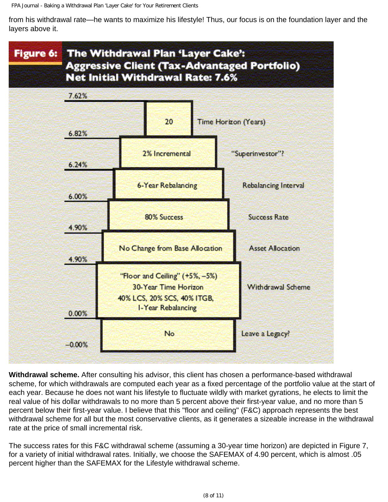from his withdrawal rate—he wants to maximize his lifestyle! Thus, our focus is on the foundation layer and the layers above it.



**Withdrawal scheme.** After consulting his advisor, this client has chosen a performance-based withdrawal scheme, for which withdrawals are computed each year as a fixed percentage of the portfolio value at the start of each year. Because he does not want his lifestyle to fluctuate wildly with market gyrations, he elects to limit the real value of his dollar withdrawals to no more than 5 percent above their first-year value, and no more than 5 percent below their first-year value. I believe that this "floor and ceiling" (F&C) approach represents the best withdrawal scheme for all but the most conservative clients, as it generates a sizeable increase in the withdrawal rate at the price of small incremental risk.

The success rates for this F&C withdrawal scheme (assuming a 30-year time horizon) are depicted in Figure 7, for a variety of initial withdrawal rates. Initially, we choose the SAFEMAX of 4.90 percent, which is almost .05 percent higher than the SAFEMAX for the Lifestyle withdrawal scheme.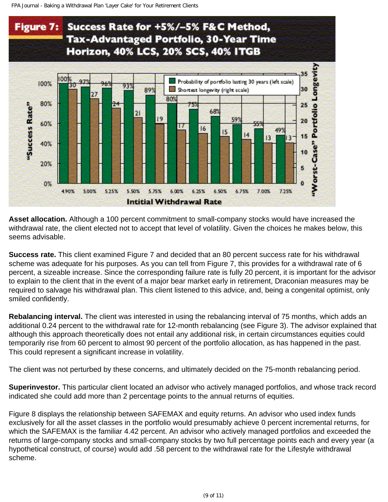

**Asset allocation.** Although a 100 percent commitment to small-company stocks would have increased the withdrawal rate, the client elected not to accept that level of volatility. Given the choices he makes below, this seems advisable.

**Success rate.** This client examined Figure 7 and decided that an 80 percent success rate for his withdrawal scheme was adequate for his purposes. As you can tell from Figure 7, this provides for a withdrawal rate of 6 percent, a sizeable increase. Since the corresponding failure rate is fully 20 percent, it is important for the advisor to explain to the client that in the event of a major bear market early in retirement, Draconian measures may be required to salvage his withdrawal plan. This client listened to this advice, and, being a congenital optimist, only smiled confidently.

**Rebalancing interval.** The client was interested in using the rebalancing interval of 75 months, which adds an additional 0.24 percent to the withdrawal rate for 12-month rebalancing (see Figure 3). The advisor explained that although this approach theoretically does not entail any additional risk, in certain circumstances equities could temporarily rise from 60 percent to almost 90 percent of the portfolio allocation, as has happened in the past. This could represent a significant increase in volatility.

The client was not perturbed by these concerns, and ultimately decided on the 75-month rebalancing period.

**Superinvestor.** This particular client located an advisor who actively managed portfolios, and whose track record indicated she could add more than 2 percentage points to the annual returns of equities.

Figure 8 displays the relationship between SAFEMAX and equity returns. An advisor who used index funds exclusively for all the asset classes in the portfolio would presumably achieve 0 percent incremental returns, for which the SAFEMAX is the familiar 4.42 percent. An advisor who actively managed portfolios and exceeded the returns of large-company stocks and small-company stocks by two full percentage points each and every year (a hypothetical construct, of course) would add .58 percent to the withdrawal rate for the Lifestyle withdrawal scheme.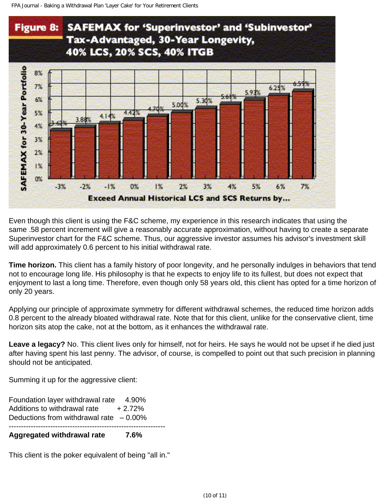

Even though this client is using the F&C scheme, my experience in this research indicates that using the same .58 percent increment will give a reasonably accurate approximation, without having to create a separate Superinvestor chart for the F&C scheme. Thus, our aggressive investor assumes his advisor's investment skill will add approximately 0.6 percent to his initial withdrawal rate.

**Time horizon.** This client has a family history of poor longevity, and he personally indulges in behaviors that tend not to encourage long life. His philosophy is that he expects to enjoy life to its fullest, but does not expect that enjoyment to last a long time. Therefore, even though only 58 years old, this client has opted for a time horizon of only 20 years.

Applying our principle of approximate symmetry for different withdrawal schemes, the reduced time horizon adds 0.8 percent to the already bloated withdrawal rate. Note that for this client, unlike for the conservative client, time horizon sits atop the cake, not at the bottom, as it enhances the withdrawal rate.

**Leave a legacy?** No. This client lives only for himself, not for heirs. He says he would not be upset if he died just after having spent his last penny. The advisor, of course, is compelled to point out that such precision in planning should not be anticipated.

Summing it up for the aggressive client:

Foundation layer withdrawal rate 4.90% Additions to withdrawal rate  $+2.72\%$ Deductions from withdrawal rate  $-0.00\%$ ---------------------------------------------------------------- **Aggregated withdrawal rate 7.6%**

This client is the poker equivalent of being "all in."